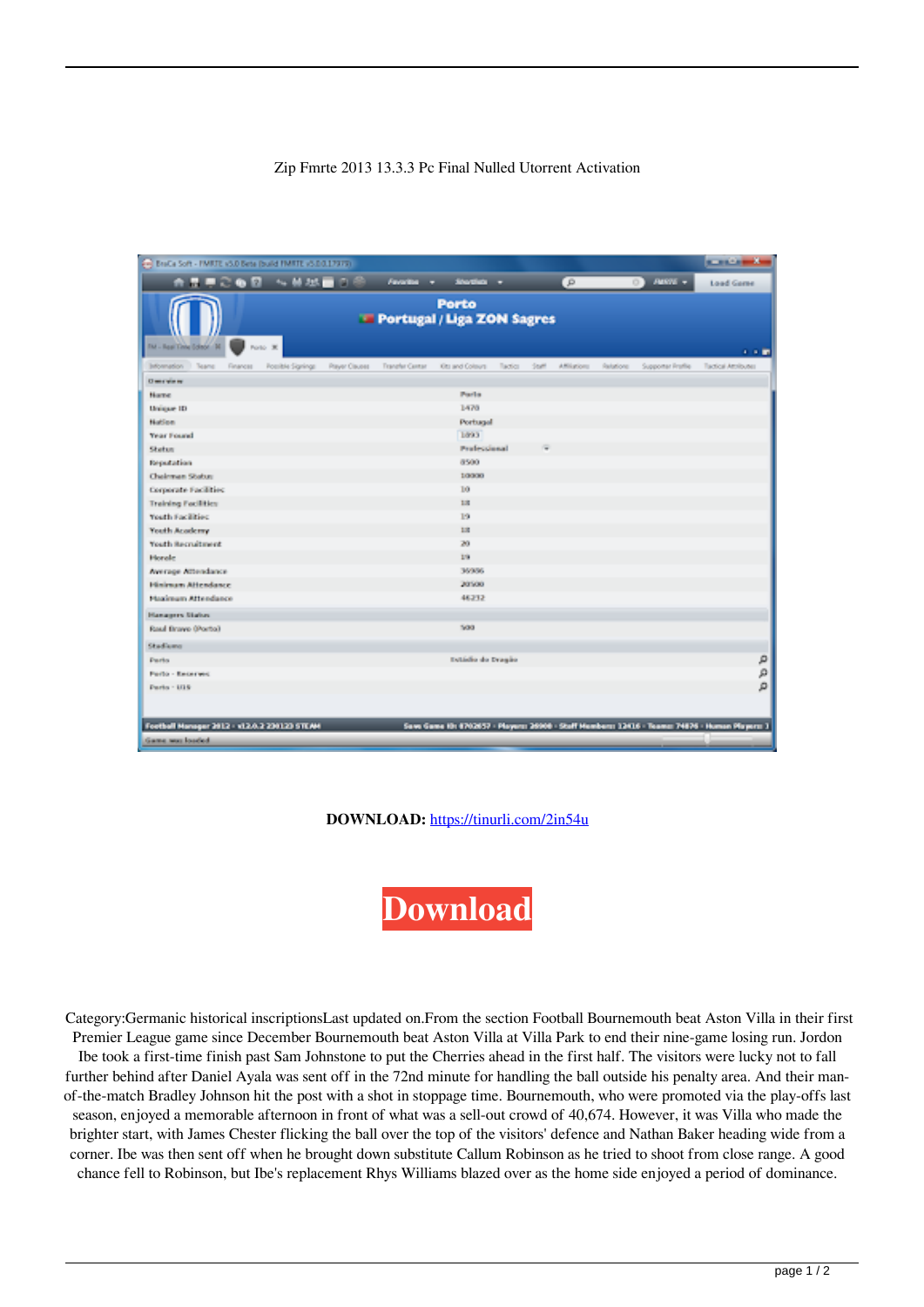## Zip Fmrte 2013 13.3.3 Pc Final Nulled Utorrent Activation

| - BraCa Soft - FMRTE v5.0 Beta Build FMRTE v5.0.0.17979)                                                   |                         |                |                 |                    |         |       |              |           |                                                                                                 | <b>Contract Contract</b> |
|------------------------------------------------------------------------------------------------------------|-------------------------|----------------|-----------------|--------------------|---------|-------|--------------|-----------|-------------------------------------------------------------------------------------------------|--------------------------|
| 合意寻恋每日 化转换量白色                                                                                              |                         |                | Feverite +      | <b>Shortlink</b> + |         |       | G)           |           | $\Box$ AUSTS +                                                                                  | <b>Load Game</b>         |
| <b>Porto</b><br><b>E</b> Portugal / Liga ZON Sagres<br>TM - Real Citie Editor 30<br>Porto 30<br><b>COM</b> |                         |                |                 |                    |         |       |              |           |                                                                                                 |                          |
| jutoanadon<br>I Teams<br>Financist                                                                         | <b>Romitée Signings</b> | Player Ciauses | Transfer Center | Ott and Colours    | Tactics | Staff | Affiliations | Relations | Supporter Profile                                                                               | Tactical Attributes      |
| <b>Chevrolet et al.</b>                                                                                    |                         |                |                 |                    |         |       |              |           |                                                                                                 |                          |
| Name                                                                                                       |                         |                |                 | Parts              |         |       |              |           |                                                                                                 |                          |
| Unique ID                                                                                                  |                         |                |                 | 1470               |         |       |              |           |                                                                                                 |                          |
| <b>Nation</b>                                                                                              |                         |                |                 | Portugal           |         |       |              |           |                                                                                                 |                          |
| Year Found                                                                                                 |                         |                |                 | 1893               |         |       |              |           |                                                                                                 |                          |
| Status                                                                                                     |                         |                |                 | Profeccional       |         |       |              |           |                                                                                                 |                          |
| Reputation                                                                                                 |                         |                |                 | 8500               |         |       |              |           |                                                                                                 |                          |
| Chairman Status                                                                                            |                         |                |                 | 1/3000             |         |       |              |           |                                                                                                 |                          |
| Corporate Facilities:                                                                                      |                         |                |                 | 10                 |         |       |              |           |                                                                                                 |                          |
| <b>Training Facilities</b>                                                                                 |                         |                |                 | 12                 |         |       |              |           |                                                                                                 |                          |
| Youth Facilities:                                                                                          |                         |                |                 | 19                 |         |       |              |           |                                                                                                 |                          |
| Youth Academy                                                                                              |                         |                |                 | 13                 |         |       |              |           |                                                                                                 |                          |
| Youth Recruitment                                                                                          |                         |                |                 | 20                 |         |       |              |           |                                                                                                 |                          |
| Horale                                                                                                     |                         |                |                 | 278                |         |       |              |           |                                                                                                 |                          |
| Average Attendance                                                                                         |                         |                |                 | 36936              |         |       |              |           |                                                                                                 |                          |
| Hinimum Attendance                                                                                         |                         |                |                 | 20500              |         |       |              |           |                                                                                                 |                          |
| <b>Maximum Attendance</b>                                                                                  |                         |                |                 | 46312              |         |       |              |           |                                                                                                 |                          |
| <b>Hanagers Status</b>                                                                                     |                         |                |                 |                    |         |       |              |           |                                                                                                 |                          |
| Raul Braye (Porto)                                                                                         |                         |                |                 | 500                |         |       |              |           |                                                                                                 |                          |
| Studiumo                                                                                                   |                         |                |                 |                    |         |       |              |           |                                                                                                 |                          |
| <b>Durin</b>                                                                                               |                         |                |                 | Estádio do Dragão  |         |       |              |           |                                                                                                 | ρ                        |
| <b>Porto - Received</b>                                                                                    |                         |                |                 |                    |         |       |              |           |                                                                                                 | $\mathcal{L}$            |
| $Parta - 1716$                                                                                             |                         |                |                 |                    |         |       |              |           |                                                                                                 | ø                        |
| Football Manager 2012 - v12/0.2 230123 STEAM                                                               |                         |                |                 |                    |         |       |              |           | Save Game 10: 8702657 - Players: 26908 - Staff Members: 12416 - Teams: 74876 - Human Players: 3 |                          |
| Game was loaded                                                                                            |                         |                |                 |                    |         |       |              |           |                                                                                                 |                          |

**DOWNLOAD:** <https://tinurli.com/2in54u>

**[Download](https://tinurli.com/2in54u)**

 Category:Germanic historical inscriptionsLast updated on.From the section Football Bournemouth beat Aston Villa in their first Premier League game since December Bournemouth beat Aston Villa at Villa Park to end their nine-game losing run. Jordon Ibe took a first-time finish past Sam Johnstone to put the Cherries ahead in the first half. The visitors were lucky not to fall further behind after Daniel Ayala was sent off in the 72nd minute for handling the ball outside his penalty area. And their manof-the-match Bradley Johnson hit the post with a shot in stoppage time. Bournemouth, who were promoted via the play-offs last season, enjoyed a memorable afternoon in front of what was a sell-out crowd of 40,674. However, it was Villa who made the brighter start, with James Chester flicking the ball over the top of the visitors' defence and Nathan Baker heading wide from a corner. Ibe was then sent off when he brought down substitute Callum Robinson as he tried to shoot from close range. A good chance fell to Robinson, but Ibe's replacement Rhys Williams blazed over as the home side enjoyed a period of dominance.